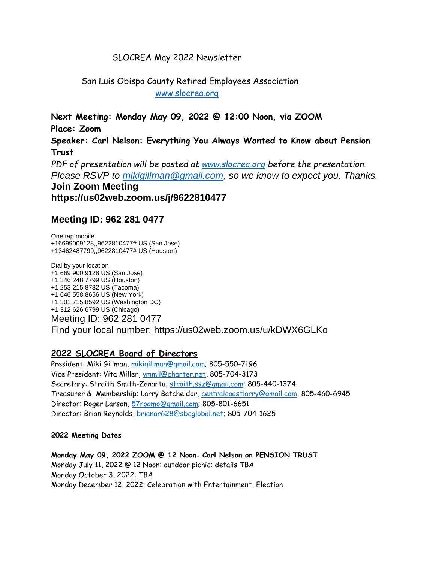## SLOCREA May 2022 Newsletter

 San Luis Obispo County Retired Employees Association [www.slocrea.org](http://www.slocrea.org/)

**Next Meeting: Monday May 09, 2022 @ 12:00 Noon, via ZOOM Place: Zoom Speaker: Carl Nelson: Everything You Always Wanted to Know about Pension Trust** *PDF of presentation will be posted at [www.slocrea.org](http://www.slocrea.org/) before the presentation. Please RSVP to [mikigillman@gmail.com,](mailto:mikigillman@gmail.com) so we know to expect you. Thanks.* **Join Zoom Meeting https://us02web.zoom.us/j/9622810477**

## **Meeting ID: 962 281 0477**

One tap mobile +16699009128,,9622810477# US (San Jose) +13462487799,,9622810477# US (Houston)

Dial by your location +1 669 900 9128 US (San Jose) +1 346 248 7799 US (Houston) +1 253 215 8782 US (Tacoma) +1 646 558 8656 US (New York) +1 301 715 8592 US (Washington DC) +1 312 626 6799 US (Chicago) Meeting ID: 962 281 0477 Find your local number: https://us02web.zoom.us/u/kDWX6GLKo

## **2022 SLOCREA Board of Directors**

President: Miki Gillman, [mikigillman@gmail.com;](mailto:mikigillman@gmail.com) 805-550-7196 Vice President: Vita Miller, [vmmil@charter.net,](mailto:vmmil@charter.net) 805-704-3173 Secretary: Straith Smith-Zanartu, [straith.ssz@gmail.com;](mailto:straith.ssz@gmail.com) 805-440-1374 Treasurer & Membership: Larry Batcheldor, [centralcoastlarry@gmail.com,](mailto:centralcoastlarry@gmail.com) 805-460-6945 Director: Roger Larson, [57rogmo@gmail.com;](mailto:57rogmo@gmail.com) 805-801-6651 Director: Brian Reynolds, [brianar628@sbcglobal.net;](mailto:brianar628@sbcglobal.net) 805-704-1625

#### **2022 Meeting Dates**

**Monday May 09, 2022 ZOOM @ 12 Noon: Carl Nelson on PENSION TRUST** Monday July 11, 2022 @ 12 Noon: outdoor picnic: details TBA Monday October 3, 2022: TBA Monday December 12, 2022: Celebration with Entertainment, Election